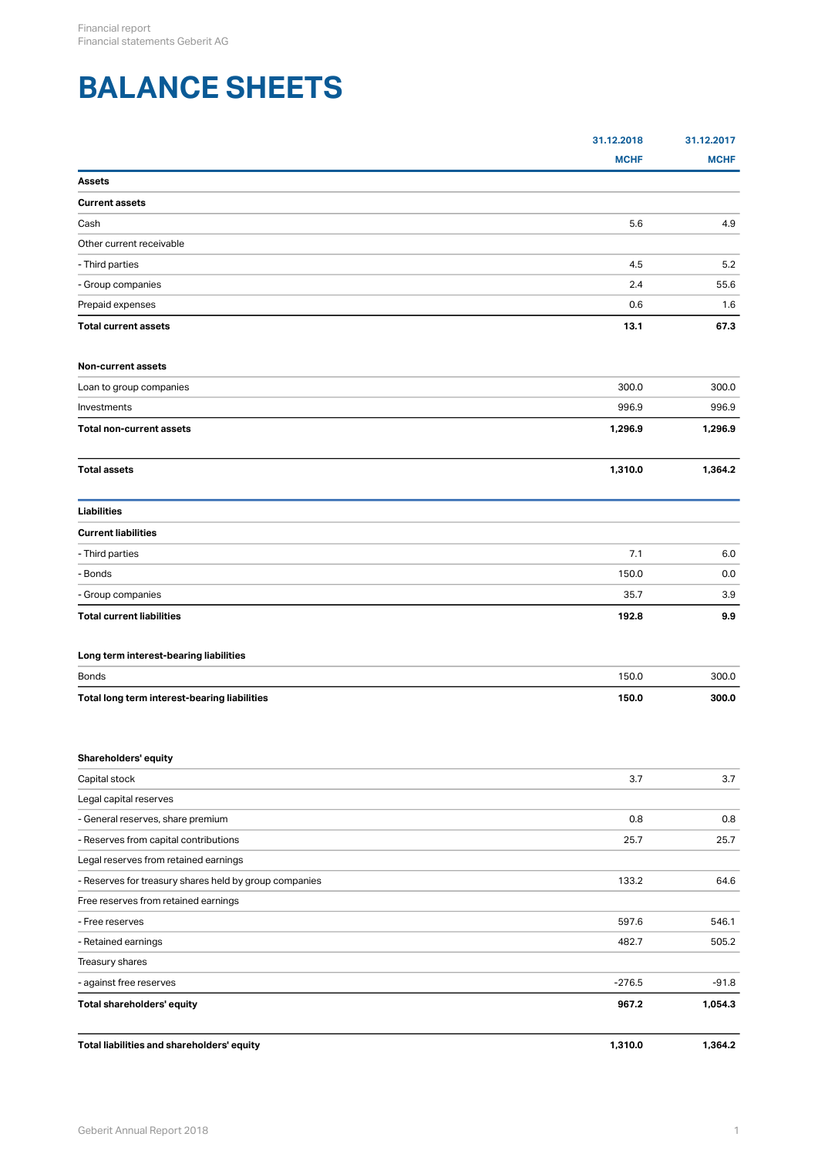# <span id="page-0-0"></span>**BALANCE SHEETS**

|                                                        | 31.12.2018  | 31.12.2017  |
|--------------------------------------------------------|-------------|-------------|
|                                                        | <b>MCHF</b> | <b>MCHF</b> |
| Assets                                                 |             |             |
| <b>Current assets</b>                                  |             |             |
| Cash                                                   | 5.6         | 4.9         |
| Other current receivable                               |             |             |
| - Third parties                                        | 4.5         | 5.2         |
| - Group companies                                      | 2.4         | 55.6        |
| Prepaid expenses                                       | 0.6         | 1.6         |
| <b>Total current assets</b>                            | 13.1        | 67.3        |
| Non-current assets                                     |             |             |
| Loan to group companies                                | 300.0       | 300.0       |
| Investments                                            | 996.9       | 996.9       |
| Total non-current assets                               | 1,296.9     | 1,296.9     |
| <b>Total assets</b>                                    | 1,310.0     | 1,364.2     |
| <b>Liabilities</b>                                     |             |             |
| <b>Current liabilities</b>                             |             |             |
| - Third parties                                        | 7.1         | 6.0         |
| - Bonds                                                | 150.0       | 0.0         |
| - Group companies                                      | 35.7        | 3.9         |
| <b>Total current liabilities</b>                       | 192.8       | 9.9         |
| Long term interest-bearing liabilities                 |             |             |
| Bonds                                                  | 150.0       | 300.0       |
| Total long term interest-bearing liabilities           | 150.0       | 300.0       |
| Shareholders' equity                                   |             |             |
| Capital stock                                          | 3.7         | 3.7         |
| Legal capital reserves                                 |             |             |
| - General reserves, share premium                      | 0.8         | 0.8         |
| - Reserves from capital contributions                  | 25.7        | 25.7        |
| Legal reserves from retained earnings                  |             |             |
| - Reserves for treasury shares held by group companies | 133.2       | 64.6        |
| Free reserves from retained earnings                   |             |             |
| - Free reserves                                        | 597.6       | 546.1       |
| - Retained earnings                                    | 482.7       | 505.2       |
| Treasury shares                                        |             |             |
| - against free reserves                                | $-276.5$    | $-91.8$     |
| Total shareholders' equity                             | 967.2       | 1,054.3     |
| Total liabilities and shareholders' equity             | 1,310.0     | 1,364.2     |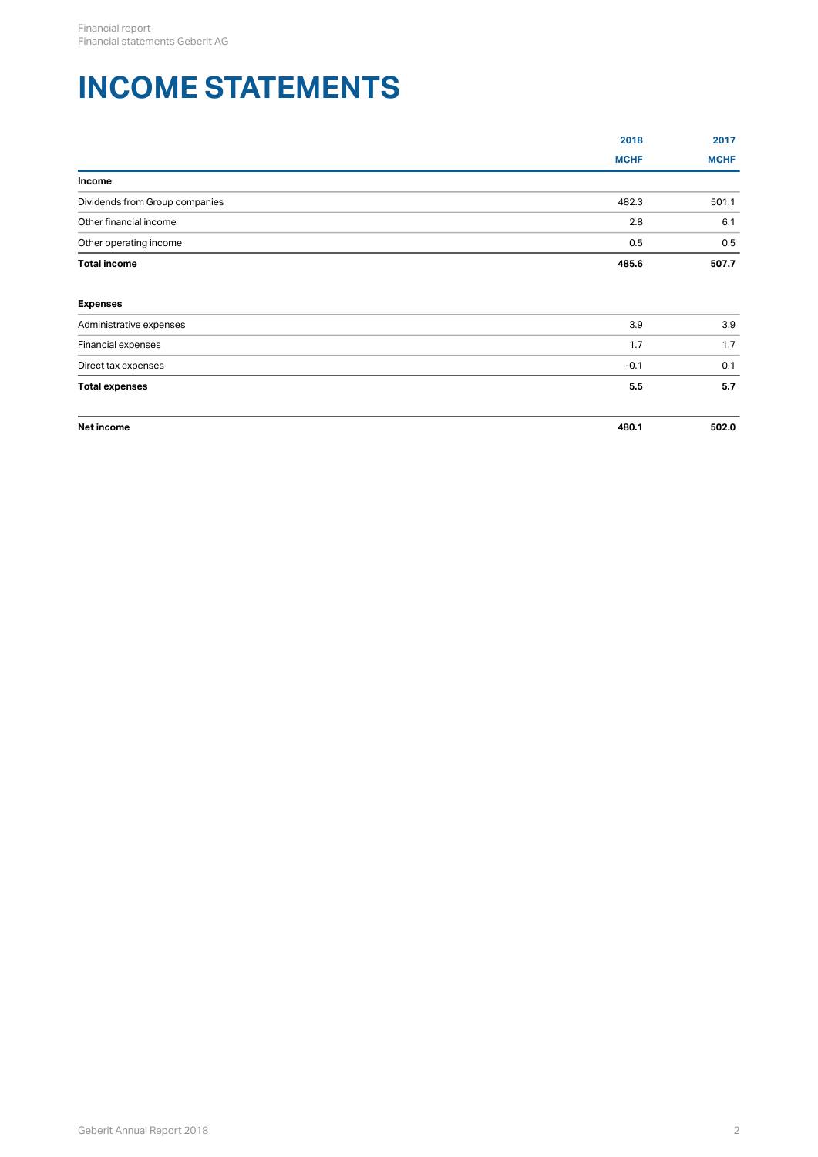# <span id="page-1-0"></span>**INCOME STATEMENTS**

|                                | 2018        | 2017        |
|--------------------------------|-------------|-------------|
|                                | <b>MCHF</b> | <b>MCHF</b> |
| Income                         |             |             |
| Dividends from Group companies | 482.3       | 501.1       |
| Other financial income         | 2.8         | 6.1         |
| Other operating income         | 0.5         | 0.5         |
| <b>Total income</b>            | 485.6       | 507.7       |
| <b>Expenses</b>                |             |             |
| Administrative expenses        | 3.9         | 3.9         |
| Financial expenses             | 1.7         | 1.7         |
| Direct tax expenses            | $-0.1$      | 0.1         |
| <b>Total expenses</b>          | 5.5         | 5.7         |
| Net income                     | 480.1       | 502.0       |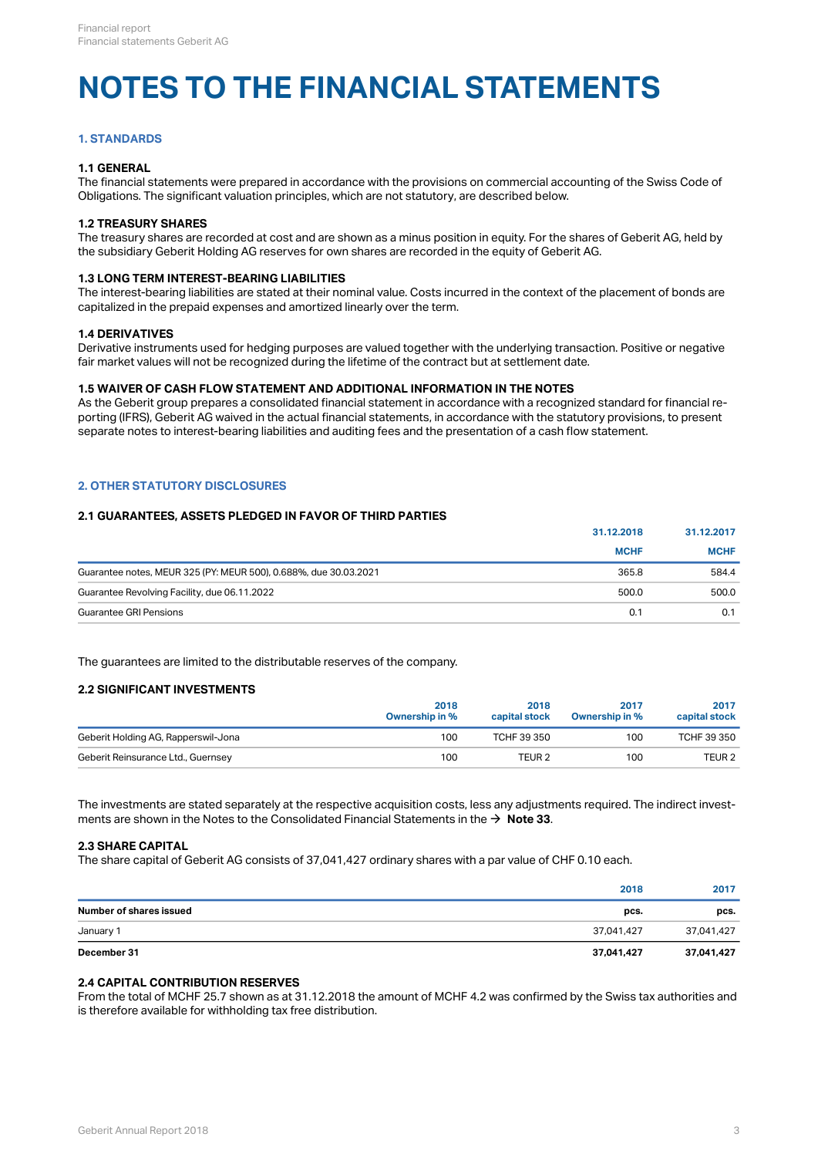# <span id="page-2-0"></span>**NOTES TO THE FINANCIAL STATEMENTS**

### **1. STANDARDS**

### **1.1 GENERAL**

The financial statements were prepared in accordance with the provisions on commercial accounting of the Swiss Code of Obligations. The significant valuation principles, which are not statutory, are described below.

#### **1.2 TREASURY SHARES**

The treasury shares are recorded at cost and are shown as a minus position in equity. For the shares of Geberit AG, held by the subsidiary Geberit Holding AG reserves for own shares are recorded in the equity of Geberit AG.

### **1.3 LONG TERM INTEREST-BEARING LIABILITIES**

The interest-bearing liabilities are stated at their nominal value. Costs incurred in the context of the placement of bonds are capitalized in the prepaid expenses and amortized linearly over the term.

#### **1.4 DERIVATIVES**

Derivative instruments used for hedging purposes are valued together with the underlying transaction. Positive or negative fair market values will not be recognized during the lifetime of the contract but at settlement date.

#### **1.5 WAIVER OF CASH FLOW STATEMENT AND ADDITIONAL INFORMATION IN THE NOTES**

As the Geberit group prepares a consolidated financial statement in accordance with a recognized standard for financial reporting (IFRS), Geberit AG waived in the actual financial statements, in accordance with the statutory provisions, to present separate notes to interest-bearing liabilities and auditing fees and the presentation of a cash flow statement.

### **2. OTHER STATUTORY DISCLOSURES**

#### **2.1 GUARANTEES, ASSETS PLEDGED IN FAVOR OF THIRD PARTIES**

|                                                                  | 31.12.2018  |             |  |
|------------------------------------------------------------------|-------------|-------------|--|
|                                                                  | <b>MCHF</b> | <b>MCHF</b> |  |
| Guarantee notes, MEUR 325 (PY: MEUR 500), 0.688%, due 30.03.2021 | 365.8       | 584.4       |  |
| Guarantee Revolving Facility, due 06.11.2022                     | 500.0       | 500.0       |  |
| Guarantee GRI Pensions                                           | 0.1         | 0.1         |  |

The guarantees are limited to the distributable reserves of the company.

#### **2.2 SIGNIFICANT INVESTMENTS**

|                                     | 2018<br>Ownership in % | 2018<br>capital stock | 2017<br>Ownership in % | 2017<br>capital stock |
|-------------------------------------|------------------------|-----------------------|------------------------|-----------------------|
| Geberit Holding AG, Rapperswil-Jona | 100                    | TCHF 39 350           | 100                    | TCHF 39 350           |
| Geberit Reinsurance Ltd., Guernsey  | 100                    | TEUR <sub>2</sub>     | 100                    | TEUR <sub>2</sub>     |

The investments are stated separately at the respective acquisition costs, less any adjustments required. The indirect investments are shown in the Notes to the Consolidated Financial Statements in the  $\rightarrow$  **[Note 33](http://annualreport.geberit.com/reports/geberit/annual/2018/gb/English/20405033/33_-group-companies-as-at-31-december-2018.html)**.

# **2.3 SHARE CAPITAL**

The share capital of Geberit AG consists of 37,041,427 ordinary shares with a par value of CHF 0.10 each.

| 2018       | 2017       |
|------------|------------|
| pcs.       | pcs.       |
| 37,041,427 | 37,041,427 |
| 37,041,427 | 37,041,427 |
|            |            |

# **2.4 CAPITAL CONTRIBUTION RESERVES**

From the total of MCHF 25.7 shown as at 31.12.2018 the amount of MCHF 4.2 was confirmed by the Swiss tax authorities and is therefore available for withholding tax free distribution.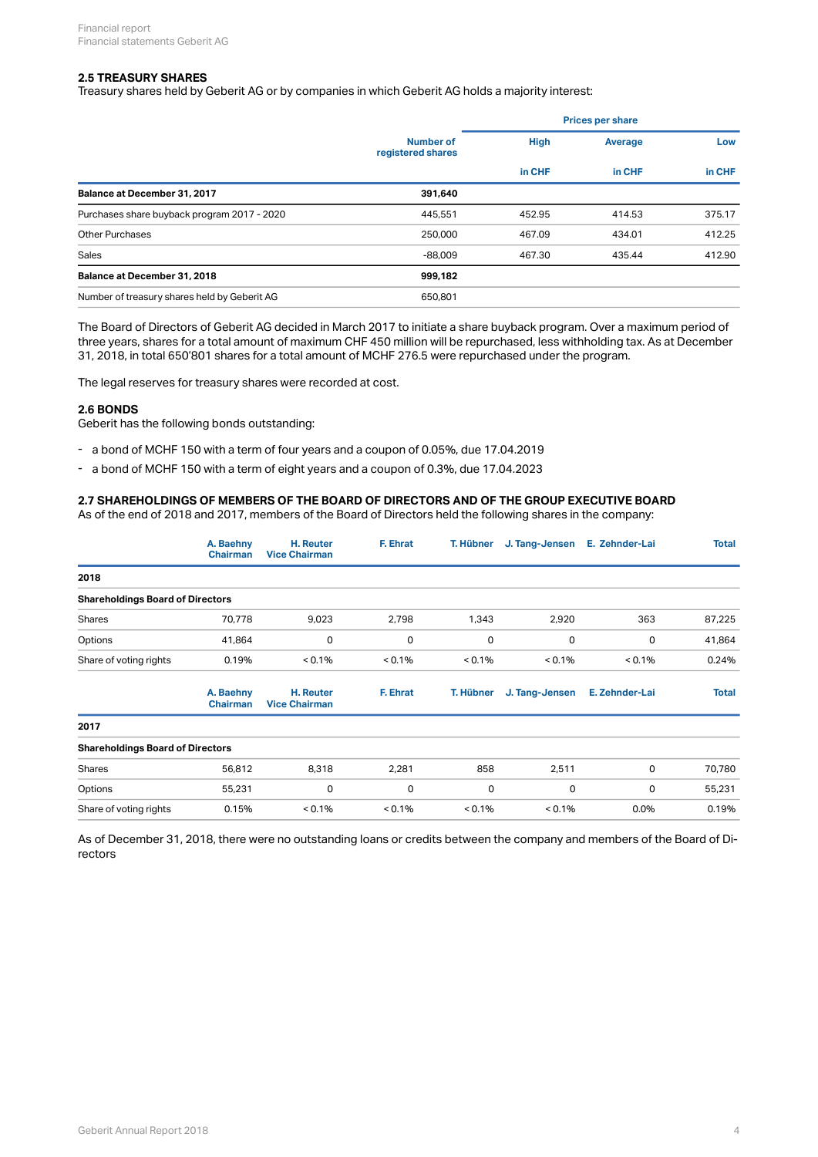#### **2.5 TREASURY SHARES**

Treasury shares held by Geberit AG or by companies in which Geberit AG holds a majority interest:

|                                              |                                | <b>Prices per share</b> |         |        |  |  |
|----------------------------------------------|--------------------------------|-------------------------|---------|--------|--|--|
|                                              | Number of<br>registered shares | High                    | Average | Low    |  |  |
|                                              |                                | in CHF                  | in CHF  | in CHF |  |  |
| Balance at December 31, 2017                 | 391,640                        |                         |         |        |  |  |
| Purchases share buyback program 2017 - 2020  | 445,551                        | 452.95                  | 414.53  | 375.17 |  |  |
| <b>Other Purchases</b>                       | 250,000                        | 467.09                  | 434.01  | 412.25 |  |  |
| Sales                                        | $-88,009$                      | 467.30                  | 435.44  | 412.90 |  |  |
| Balance at December 31, 2018                 | 999,182                        |                         |         |        |  |  |
| Number of treasury shares held by Geberit AG | 650,801                        |                         |         |        |  |  |

The Board of Directors of Geberit AG decided in March 2017 to initiate a share buyback program. Over a maximum period of three years, shares for a total amount of maximum CHF 450 million will be repurchased, less withholding tax. As at December 31, 2018, in total 650'801 shares for a total amount of MCHF 276.5 were repurchased under the program.

The legal reserves for treasury shares were recorded at cost.

#### **2.6 BONDS**

Geberit has the following bonds outstanding:

- a bond of MCHF 150 with a term of four years and a coupon of 0.05%, due 17.04.2019
- a bond of MCHF 150 with a term of eight years and a coupon of 0.3%, due 17.04.2023

#### **2.7 SHAREHOLDINGS OF MEMBERS OF THE BOARD OF DIRECTORS AND OF THE GROUP EXECUTIVE BOARD**

As of the end of 2018 and 2017, members of the Board of Directors held the following shares in the company:

|                                         | A. Baehny<br><b>Chairman</b> | H. Reuter<br><b>Vice Chairman</b> | F. Ehrat    | T. Hübner    | J. Tang-Jensen | E. Zehnder-Lai | <b>Total</b> |
|-----------------------------------------|------------------------------|-----------------------------------|-------------|--------------|----------------|----------------|--------------|
| 2018                                    |                              |                                   |             |              |                |                |              |
| <b>Shareholdings Board of Directors</b> |                              |                                   |             |              |                |                |              |
| Shares                                  | 70,778                       | 9,023                             | 2,798       | 1,343        | 2,920          | 363            | 87,225       |
| Options                                 | 41,864                       | 0                                 | 0           | $\mathsf{O}$ | $\mathsf{O}$   | 0              | 41,864       |
| Share of voting rights                  | 0.19%                        | $< 0.1\%$                         | $< 0.1\%$   | $< 0.1\%$    | $< 0.1\%$      | $< 0.1\%$      | 0.24%        |
|                                         | A. Baehny<br><b>Chairman</b> | H. Reuter<br><b>Vice Chairman</b> | F. Ehrat    | T. Hübner    | J. Tang-Jensen | E. Zehnder-Lai | <b>Total</b> |
| 2017                                    |                              |                                   |             |              |                |                |              |
| <b>Shareholdings Board of Directors</b> |                              |                                   |             |              |                |                |              |
| Shares                                  | 56,812                       | 8,318                             | 2,281       | 858          | 2,511          | 0              | 70,780       |
| Options                                 | 55,231                       | 0                                 | $\mathbf 0$ | 0            | 0              | 0              | 55,231       |
| Share of voting rights                  | 0.15%                        | < 0.1%                            | $< 0.1\%$   | $< 0.1\%$    | $< 0.1\%$      | 0.0%           | 0.19%        |
|                                         |                              |                                   |             |              |                |                |              |

As of December 31, 2018, there were no outstanding loans or credits between the company and members of the Board of Directors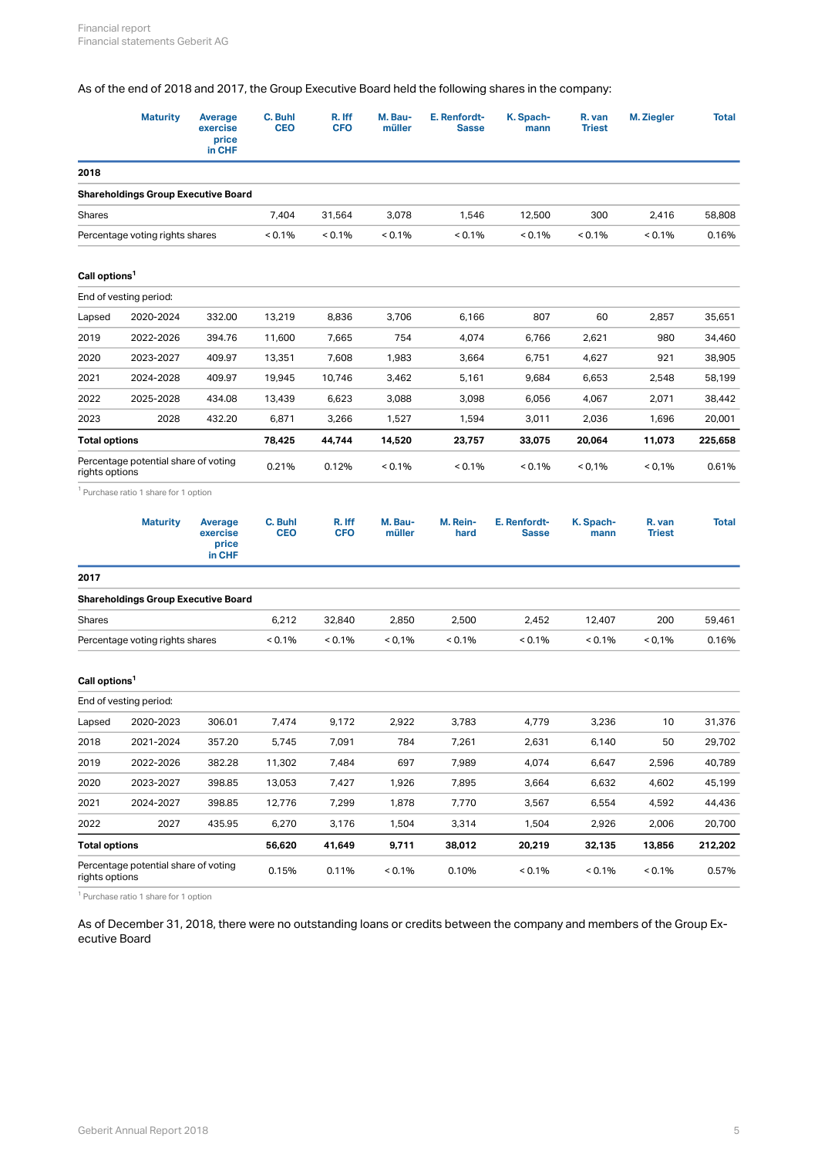# As of the end of 2018 and 2017, the Group Executive Board held the following shares in the company:

|                                                        | <b>Maturity</b>                      | <b>Average</b><br>exercise<br>price           | C. Buhl<br><b>CEO</b> | R. Iff<br><b>CFO</b> | M. Bau-<br>müller | E. Renfordt-<br><b>Sasse</b> | K. Spach-<br>mann            | R. van<br><b>Triest</b> | M. Ziegler              | <b>Total</b> |
|--------------------------------------------------------|--------------------------------------|-----------------------------------------------|-----------------------|----------------------|-------------------|------------------------------|------------------------------|-------------------------|-------------------------|--------------|
|                                                        |                                      | in CHF                                        |                       |                      |                   |                              |                              |                         |                         |              |
| 2018                                                   |                                      |                                               |                       |                      |                   |                              |                              |                         |                         |              |
|                                                        | Shareholdings Group Executive Board  |                                               |                       |                      |                   |                              |                              |                         |                         |              |
| Shares                                                 |                                      |                                               | 7,404                 | 31,564               | 3,078             | 1,546                        | 12,500                       | 300                     | 2,416                   | 58,808       |
|                                                        | Percentage voting rights shares      |                                               | < 0.1%                | $< 0.1\%$            | $< 0.1\%$         | < 0.1%                       | $< 0.1\%$                    | < 0.1%                  | < 0.1%                  | 0.16%        |
| Call options <sup>1</sup>                              |                                      |                                               |                       |                      |                   |                              |                              |                         |                         |              |
|                                                        | End of vesting period:               |                                               |                       |                      |                   |                              |                              |                         |                         |              |
| Lapsed                                                 | 2020-2024                            | 332.00                                        | 13,219                | 8,836                | 3,706             | 6,166                        | 807                          | 60                      | 2,857                   | 35,651       |
| 2019                                                   | 2022-2026                            | 394.76                                        | 11,600                | 7,665                | 754               | 4,074                        | 6,766                        | 2,621                   | 980                     | 34,460       |
| 2020                                                   | 2023-2027                            | 409.97                                        | 13,351                | 7,608                | 1,983             | 3,664                        | 6,751                        | 4,627                   | 921                     | 38,905       |
| 2021                                                   | 2024-2028                            | 409.97                                        | 19,945                | 10,746               | 3,462             | 5,161                        | 9,684                        | 6,653                   | 2,548                   | 58,199       |
| 2022                                                   | 2025-2028                            | 434.08                                        | 13,439                | 6,623                | 3,088             | 3,098                        | 6,056                        | 4,067                   | 2,071                   | 38,442       |
| 2023                                                   | 2028                                 | 432.20                                        | 6,871                 | 3,266                | 1,527             | 1,594                        | 3,011                        | 2,036                   | 1,696                   | 20,001       |
| <b>Total options</b>                                   |                                      |                                               | 78,425                | 44,744               | 14,520            | 23,757                       | 33,075                       | 20,064                  | 11,073                  | 225,658      |
| rights options                                         | Percentage potential share of voting |                                               | 0.21%                 | 0.12%                | $< 0.1\%$         | < 0.1%                       | $< 0.1\%$                    | < 0.1%                  | < 0.1%                  | 0.61%        |
|                                                        | Purchase ratio 1 share for 1 option  |                                               |                       |                      |                   |                              |                              |                         |                         |              |
|                                                        | <b>Maturity</b>                      | <b>Average</b><br>exercise<br>price<br>in CHF | C. Buhl<br><b>CEO</b> | R. Iff<br><b>CFO</b> | M. Bau-<br>müller | M. Rein-<br>hard             | E. Renfordt-<br><b>Sasse</b> | K. Spach-<br>mann       | R. van<br><b>Triest</b> | <b>Total</b> |
| 2017                                                   |                                      |                                               |                       |                      |                   |                              |                              |                         |                         |              |
|                                                        | Shareholdings Group Executive Board  |                                               |                       |                      |                   |                              |                              |                         |                         |              |
| Shares                                                 |                                      |                                               | 6,212                 | 32,840               | 2,850             | 2,500                        | 2,452                        | 12,407                  | 200                     | 59,461       |
|                                                        | Percentage voting rights shares      |                                               | $< 0.1\%$             | < 0.1%               | $< 0.1\%$         | $< 0.1\%$                    | $< 0.1\%$                    | $< 0.1\%$               | < 0.1%                  | 0.16%        |
| Call options <sup>1</sup>                              |                                      |                                               |                       |                      |                   |                              |                              |                         |                         |              |
|                                                        | End of vesting period:               |                                               |                       |                      |                   |                              |                              |                         |                         |              |
| Lapsed                                                 | 2020-2023                            | 306.01                                        | 7,474                 | 9,172                | 2,922             | 3,783                        | 4,779                        | 3,236                   | 10                      | 31,376       |
| 2018                                                   | 2021-2024                            | 357.20                                        | 5,745                 | 7,091                | 784               | 7,261                        | 2,631                        | 6,140                   | 50                      | 29,702       |
| 2019                                                   | 2022-2026                            | 382.28                                        | 11,302                | 7,484                | 697               | 7,989                        | 4,074                        | 6,647                   | 2,596                   | 40,789       |
| 2020                                                   | 2023-2027                            | 398.85                                        | 13,053                | 7,427                | 1,926             | 7,895                        | 3,664                        | 6,632                   | 4,602                   | 45,199       |
| 2021                                                   | 2024-2027                            | 398.85                                        | 12,776                | 7,299                | 1,878             | 7,770                        | 3,567                        | 6,554                   | 4,592                   | 44,436       |
| 2022                                                   | 2027                                 | 435.95                                        | 6,270                 | 3,176                | 1,504             | 3,314                        | 1,504                        | 2,926                   | 2,006                   | 20,700       |
| <b>Total options</b>                                   |                                      |                                               | 56,620                | 41,649               | 9,711             | 38,012                       | 20,219                       | 32,135                  | 13,856                  | 212,202      |
| Percentage potential share of voting<br>rights options |                                      | 0.15%                                         | 0.11%                 | $< 0.1\%$            | 0.10%             | $< 0.1\%$                    | $< 0.1\%$                    | < 0.1%                  | 0.57%                   |              |

<sup>1</sup> Purchase ratio 1 share for 1 option

As of December 31, 2018, there were no outstanding loans or credits between the company and members of the Group Executive Board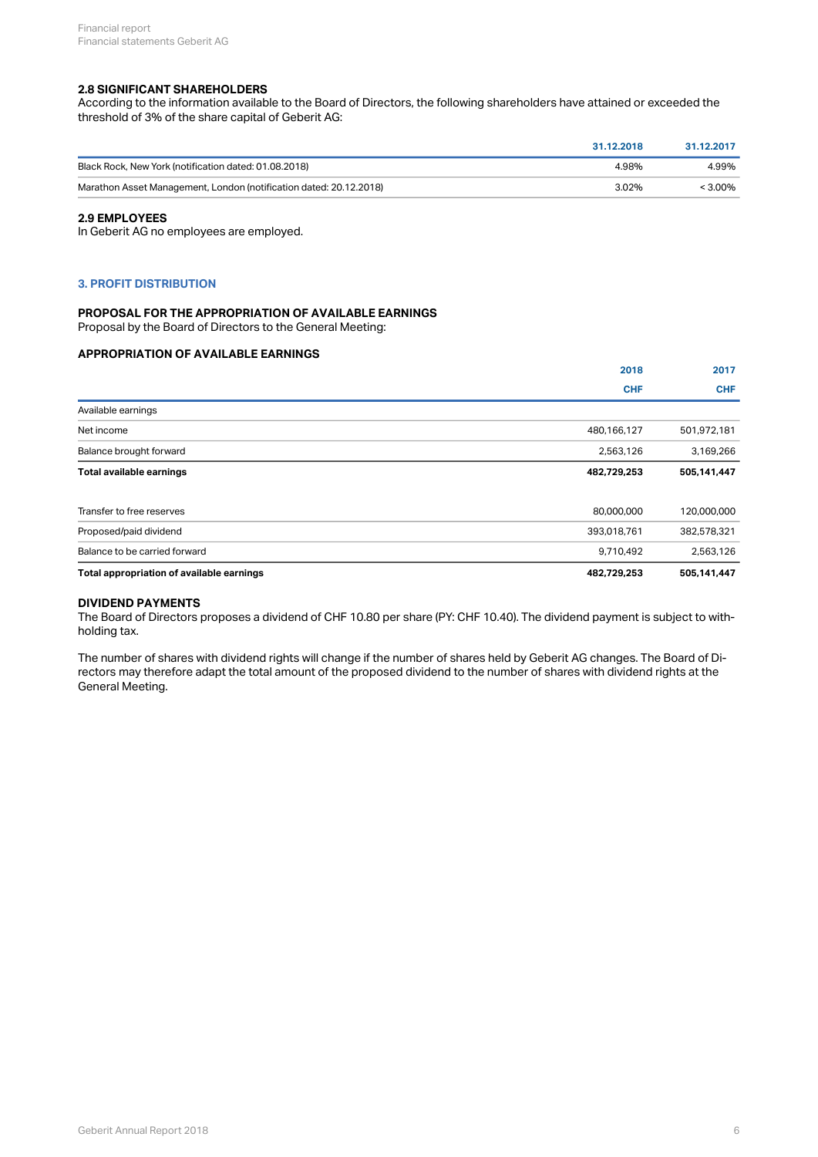#### **2.8 SIGNIFICANT SHAREHOLDERS**

According to the information available to the Board of Directors, the following shareholders have attained or exceeded the threshold of 3% of the share capital of Geberit AG:

|                                                                    | 31.12.2018 | 31.12.2017 |
|--------------------------------------------------------------------|------------|------------|
| Black Rock, New York (notification dated: 01.08.2018)              | 4.98%      | 4.99%      |
| Marathon Asset Management, London (notification dated: 20.12.2018) | 3.02%      | 3.00%      |

#### **2.9 EMPLOYEES**

In Geberit AG no employees are employed.

### **3. PROFIT DISTRIBUTION**

### **PROPOSAL FOR THE APPROPRIATION OF AVAILABLE EARNINGS**

Proposal by the Board of Directors to the General Meeting:

#### **APPROPRIATION OF AVAILABLE EARNINGS**

|                                           | 2018        | 2017        |
|-------------------------------------------|-------------|-------------|
|                                           | <b>CHF</b>  | <b>CHF</b>  |
| Available earnings                        |             |             |
| Net income                                | 480,166,127 | 501,972,181 |
| Balance brought forward                   | 2,563,126   | 3,169,266   |
| Total available earnings                  | 482,729,253 | 505,141,447 |
| Transfer to free reserves                 | 80,000,000  | 120,000,000 |
| Proposed/paid dividend                    | 393,018,761 | 382,578,321 |
| Balance to be carried forward             | 9,710,492   | 2,563,126   |
| Total appropriation of available earnings | 482,729,253 | 505,141,447 |

#### **DIVIDEND PAYMENTS**

The Board of Directors proposes a dividend of CHF 10.80 per share (PY: CHF 10.40). The dividend payment is subject to withholding tax.

The number of shares with dividend rights will change if the number of shares held by Geberit AG changes. The Board of Directors may therefore adapt the total amount of the proposed dividend to the number of shares with dividend rights at the General Meeting.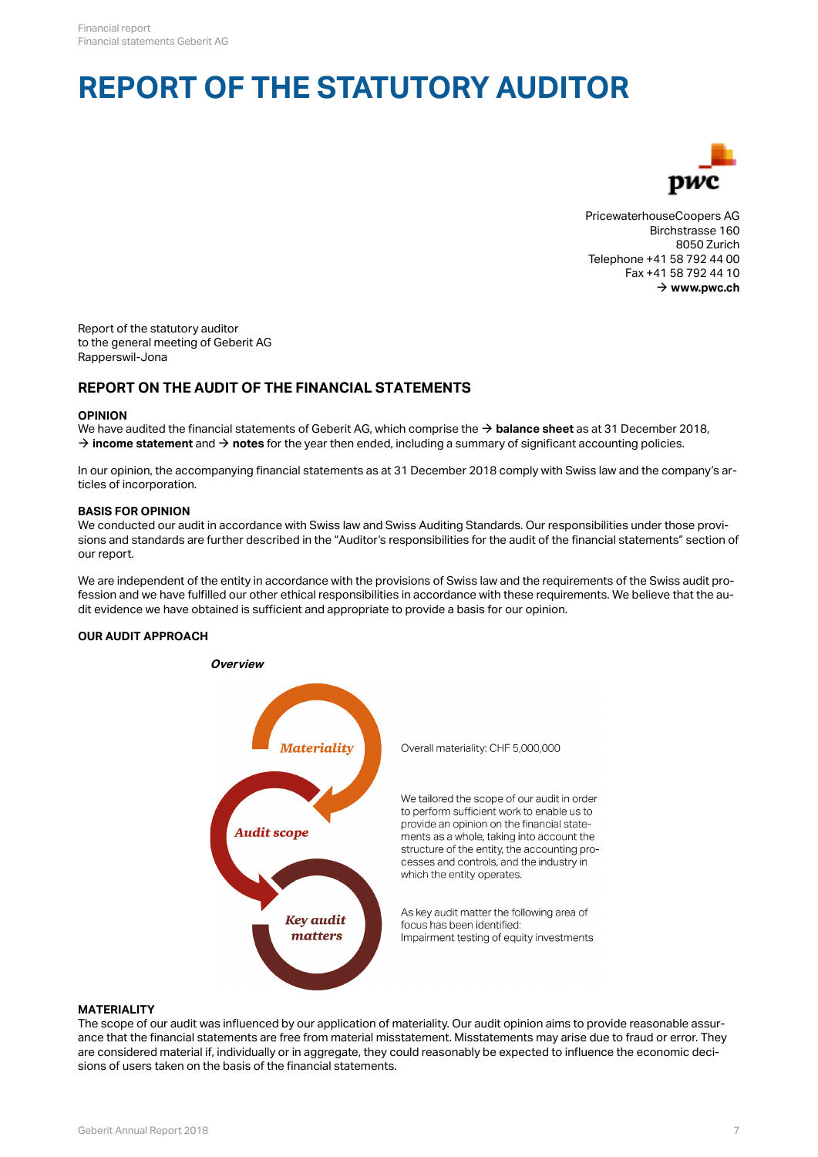# **REPORT OF THE STATUTORY AUDITOR**



PricewaterhouseCoopers AG Birchstrasse 160 8050 Zurich Telephone +41 58 792 44 00 Fax +41 58 792 44 10  $\rightarrow$  [www.pwc.ch](http://www.pwc.de)

Report of the statutory auditor to the general meeting of Geberit AG Rapperswil-Jona

# **REPORT ON THE AUDIT OF THE FINANCIAL STATEMENTS**

### **OPINION**

We have audited the financial statements of Geberit AG, which comprise the **[balance sheet](#page-0-0)** as at 31 December 2018, [\\$](#page-0-0)  $\rightarrow$  **[income statement](#page-1-0)** and  $\rightarrow$  **[notes](#page-2-0)** for the year then ended, including a summary of significant accounting policies.

In our opinion, the accompanying financial statements as at 31 December 2018 comply with Swiss law and the company's articles of incorporation.

#### **BASIS FOR OPINION**

We conducted our audit in accordance with Swiss law and Swiss Auditing Standards. Our responsibilities under those provisions and standards are further described in the "Auditor's responsibilities for the audit of the financial statements" section of our report.

We are independent of the entity in accordance with the provisions of Swiss law and the requirements of the Swiss audit profession and we have fulfilled our other ethical responsibilities in accordance with these requirements. We believe that the audit evidence we have obtained is sufficient and appropriate to provide a basis for our opinion.

### **OUR AUDIT APPROACH**



#### **MATERIALITY**

The scope of our audit was influenced by our application of materiality. Our audit opinion aims to provide reasonable assurance that the financial statements are free from material misstatement. Misstatements may arise due to fraud or error. They are considered material if, individually or in aggregate, they could reasonably be expected to influence the economic decisions of users taken on the basis of the financial statements.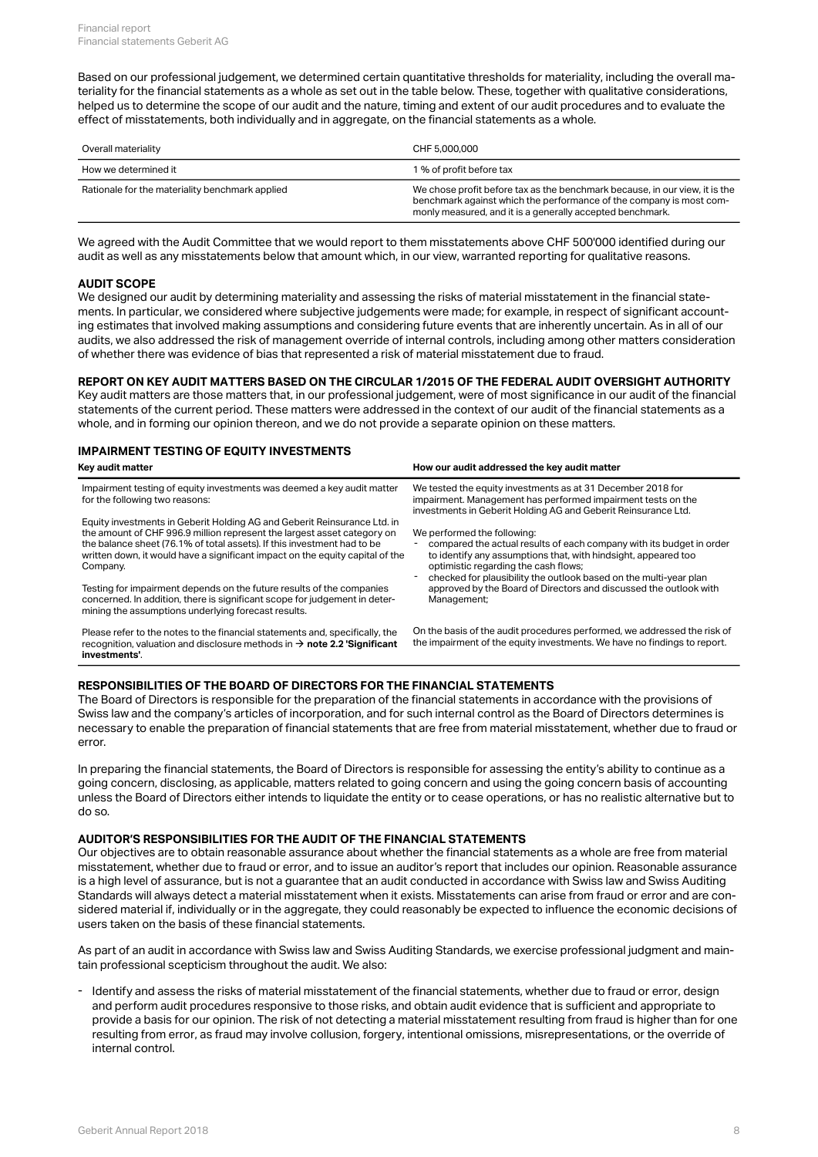Based on our professional judgement, we determined certain quantitative thresholds for materiality, including the overall materiality for the financial statements as a whole as set out in the table below. These, together with qualitative considerations, helped us to determine the scope of our audit and the nature, timing and extent of our audit procedures and to evaluate the effect of misstatements, both individually and in aggregate, on the financial statements as a whole.

| Overall materiality                             | CHF 5.000.000                                                                                                                                                                                                   |  |
|-------------------------------------------------|-----------------------------------------------------------------------------------------------------------------------------------------------------------------------------------------------------------------|--|
| How we determined it                            | 1 % of profit before tax                                                                                                                                                                                        |  |
| Rationale for the materiality benchmark applied | We chose profit before tax as the benchmark because, in our view, it is the<br>benchmark against which the performance of the company is most com-<br>monly measured, and it is a generally accepted benchmark. |  |

We agreed with the Audit Committee that we would report to them misstatements above CHF 500'000 identified during our audit as well as any misstatements below that amount which, in our view, warranted reporting for qualitative reasons.

#### **AUDIT SCOPE**

We designed our audit by determining materiality and assessing the risks of material misstatement in the financial statements. In particular, we considered where subjective judgements were made; for example, in respect of significant accounting estimates that involved making assumptions and considering future events that are inherently uncertain. As in all of our audits, we also addressed the risk of management override of internal controls, including among other matters consideration of whether there was evidence of bias that represented a risk of material misstatement due to fraud.

### **REPORT ON KEY AUDIT MATTERS BASED ON THE CIRCULAR 1/2015 OF THE FEDERAL AUDIT OVERSIGHT AUTHORITY**

Key audit matters are those matters that, in our professional judgement, were of most significance in our audit of the financial statements of the current period. These matters were addressed in the context of our audit of the financial statements as a whole, and in forming our opinion thereon, and we do not provide a separate opinion on these matters.

### **IMPAIRMENT TESTING OF EQUITY INVESTMENTS**

| Key audit matter                                                                                                                                                                                                                                                                                                                                                                                                                                                                                                                          | How our audit addressed the key audit matter                                                                                                                                                                                                                                                                                                                           |
|-------------------------------------------------------------------------------------------------------------------------------------------------------------------------------------------------------------------------------------------------------------------------------------------------------------------------------------------------------------------------------------------------------------------------------------------------------------------------------------------------------------------------------------------|------------------------------------------------------------------------------------------------------------------------------------------------------------------------------------------------------------------------------------------------------------------------------------------------------------------------------------------------------------------------|
| Impairment testing of equity investments was deemed a key audit matter<br>for the following two reasons:                                                                                                                                                                                                                                                                                                                                                                                                                                  | We tested the equity investments as at 31 December 2018 for<br>impairment. Management has performed impairment tests on the<br>investments in Geberit Holding AG and Geberit Reinsurance Ltd.                                                                                                                                                                          |
| Equity investments in Geberit Holding AG and Geberit Reinsurance Ltd. in<br>the amount of CHF 996.9 million represent the largest asset category on<br>the balance sheet (76.1% of total assets). If this investment had to be<br>written down, it would have a significant impact on the equity capital of the<br>Company.<br>Testing for impairment depends on the future results of the companies<br>concerned. In addition, there is significant scope for judgement in deter-<br>mining the assumptions underlying forecast results. | We performed the following:<br>compared the actual results of each company with its budget in order<br>to identify any assumptions that, with hindsight, appeared too<br>optimistic regarding the cash flows;<br>checked for plausibility the outlook based on the multi-year plan<br>approved by the Board of Directors and discussed the outlook with<br>Management; |
| Please refer to the notes to the financial statements and, specifically, the<br>recognition, valuation and disclosure methods in $\rightarrow$ note 2.2 'Significant<br>investments'.                                                                                                                                                                                                                                                                                                                                                     | On the basis of the audit procedures performed, we addressed the risk of<br>the impairment of the equity investments. We have no findings to report.                                                                                                                                                                                                                   |

## **RESPONSIBILITIES OF THE BOARD OF DIRECTORS FOR THE FINANCIAL STATEMENTS**

The Board of Directors is responsible for the preparation of the financial statements in accordance with the provisions of Swiss law and the company's articles of incorporation, and for such internal control as the Board of Directors determines is necessary to enable the preparation of financial statements that are free from material misstatement, whether due to fraud or error.

In preparing the financial statements, the Board of Directors is responsible for assessing the entity's ability to continue as a going concern, disclosing, as applicable, matters related to going concern and using the going concern basis of accounting unless the Board of Directors either intends to liquidate the entity or to cease operations, or has no realistic alternative but to do so.

# **AUDITOR'S RESPONSIBILITIES FOR THE AUDIT OF THE FINANCIAL STATEMENTS**

Our objectives are to obtain reasonable assurance about whether the financial statements as a whole are free from material misstatement, whether due to fraud or error, and to issue an auditor's report that includes our opinion. Reasonable assurance is a high level of assurance, but is not a guarantee that an audit conducted in accordance with Swiss law and Swiss Auditing Standards will always detect a material misstatement when it exists. Misstatements can arise from fraud or error and are considered material if, individually or in the aggregate, they could reasonably be expected to influence the economic decisions of users taken on the basis of these financial statements.

As part of an audit in accordance with Swiss law and Swiss Auditing Standards, we exercise professional judgment and maintain professional scepticism throughout the audit. We also:

- Identify and assess the risks of material misstatement of the financial statements, whether due to fraud or error, design and perform audit procedures responsive to those risks, and obtain audit evidence that is sufficient and appropriate to provide a basis for our opinion. The risk of not detecting a material misstatement resulting from fraud is higher than for one resulting from error, as fraud may involve collusion, forgery, intentional omissions, misrepresentations, or the override of - Identify and assess the risks of<br>and perform audit procedures re<br>provide a basis for our opinion.<br>resulting from error, as fraud ma<br>internal control.